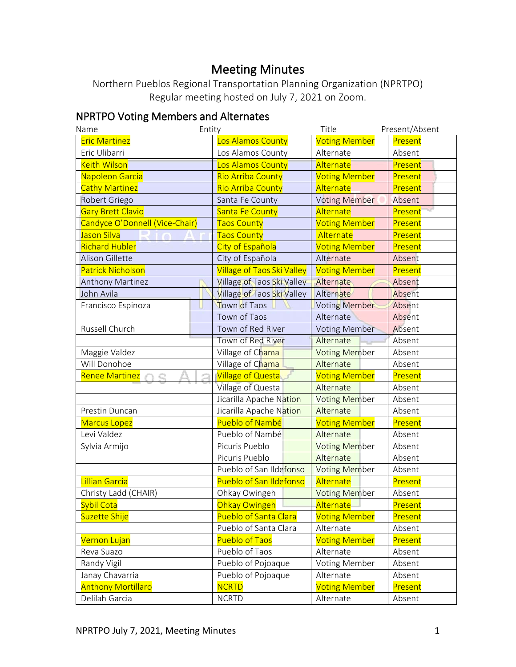# Meeting Minutes

Northern Pueblos Regional Transportation Planning Organization (NPRTPO) Regular meeting hosted on July 7, 2021 on Zoom.

## NPRTPO Voting Members and Alternates

| Entity<br>Name                 |                                   | Title                | Present/Absent |
|--------------------------------|-----------------------------------|----------------------|----------------|
| <b>Eric Martinez</b>           | Los Alamos County                 | <b>Voting Member</b> | Present        |
| Eric Ulibarri                  | Los Alamos County                 | Alternate            | Absent         |
| <b>Keith Wilson</b>            | Los Alamos County                 | Alternate            | Present        |
| Napoleon Garcia                | <b>Rio Arriba County</b>          | <b>Voting Member</b> | Present        |
| <b>Cathy Martinez</b>          | <b>Rio Arriba County</b>          | Alternate            | Present        |
| Robert Griego                  | Santa Fe County                   | <b>Voting Member</b> | Absent         |
| <b>Gary Brett Clavio</b>       | <b>Santa Fe County</b>            | Alternate            | Present        |
| Candyce O'Donnell (Vice-Chair) | <b>Taos County</b>                | <b>Voting Member</b> | Present        |
| Jason Silva                    | <b>Taos County</b>                | Alternate            | Present        |
| <b>Richard Hubler</b>          | City of Española                  | <b>Voting Member</b> | Present        |
| <b>Alison Gillette</b>         | City of Española                  | Alternate            | Absent         |
| Patrick Nicholson              | <b>Village of Taos Ski Valley</b> | <b>Voting Member</b> | Present        |
| Anthony Martinez               | Village of Taos Ski Valley        | Alternate            | Absent         |
| John Avila                     | Village of Taos Ski Valley        | Alternate            | Absent         |
| Francisco Espinoza             | Town of Taos                      | <b>Voting Member</b> | Absent         |
|                                | Town of Taos                      | Alternate            | Absent         |
| Russell Church                 | Town of Red River                 | <b>Voting Member</b> | Absent         |
|                                | Town of Red River                 | Alternate            | Absent         |
| Maggie Valdez                  | Village of Chama                  | <b>Voting Member</b> | Absent         |
| Will Donohoe                   | Village of Chama                  | Alternate            | Absent         |
| <b>Renee Martinez</b>          | <b>Village of Questa</b>          | <b>Voting Member</b> | Present        |
|                                | Village of Questa                 | Alternate            | Absent         |
|                                | Jicarilla Apache Nation           | <b>Voting Member</b> | Absent         |
| Prestin Duncan                 | Jicarilla Apache Nation           | Alternate            | Absent         |
| <b>Marcus Lopez</b>            | Pueblo of Nambé                   | <b>Voting Member</b> | Present        |
| Levi Valdez                    | Pueblo of Nambé                   | Alternate            | Absent         |
| Sylvia Armijo                  | Picuris Pueblo                    | <b>Voting Member</b> | Absent         |
|                                | Picuris Pueblo                    | Alternate            | Absent         |
|                                | Pueblo of San Ildefonso           | <b>Voting Member</b> | Absent         |
| Lillian Garcia                 | Pueblo of San Ildefonso           | Alternate            | Present        |
| Christy Ladd (CHAIR)           | Ohkay Owingeh                     | <b>Voting Member</b> | Absent         |
| <b>Sybil Cota</b>              | Ohkay Owingeh                     | <b>Alternate</b>     | Present        |
| Suzette Shije                  | <b>Pueblo of Santa Clara</b>      | <b>Voting Member</b> | Present        |
|                                | Pueblo of Santa Clara             | Alternate            | Absent         |
| Vernon Lujan                   | <b>Pueblo of Taos</b>             | <b>Voting Member</b> | Present        |
| Reva Suazo                     | Pueblo of Taos                    | Alternate            | Absent         |
| Randy Vigil                    | Pueblo of Pojoaque                | <b>Voting Member</b> | Absent         |
| Janay Chavarria                | Pueblo of Pojoaque                | Alternate            | Absent         |
| <b>Anthony Mortillaro</b>      | <b>NCRTD</b>                      | <b>Voting Member</b> | Present        |
| Delilah Garcia                 | <b>NCRTD</b>                      | Alternate            | Absent         |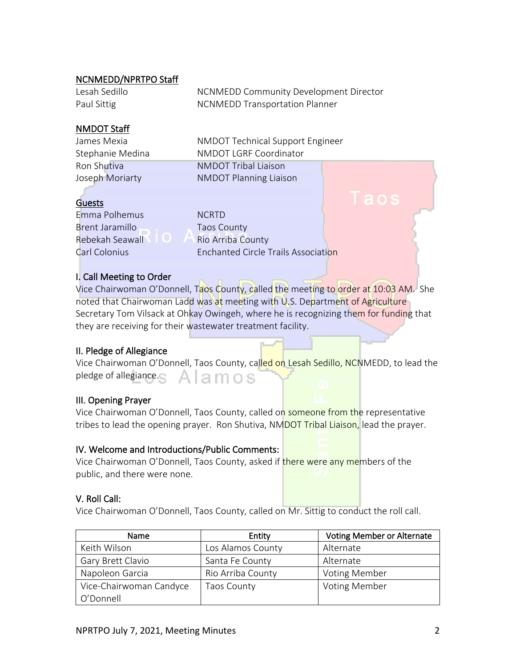#### NCNMEDD/NPRTPO Staff

| Lesah Sedillo | NCNMEDD Community Development Director |
|---------------|----------------------------------------|
| Paul Sittig   | <b>NCNMEDD Transportation Planner</b>  |

#### NMDOT Staff

James Mexia NMDOT Technical Support Engineer Stephanie Medina **NMDOT LGRF Coordinator** Ron Shutiva NMDOT Tribal Liaison Joseph Moriarty **NMDOT** Planning Liaison

## **Guests**

Emma Polhemus NCRTD Brent Jaramillo **Taos County** 

Rebekah Seawall Rio Arriba County Carl Colonius Enchanted Circle Trails Association

#### I. Call Meeting to Order

Vice Chairwoman O'Donnell, Taos County, called the meeting to order at 10:03 AM. She noted that Chairwoman Ladd was at meeting with U.S. Department of Agriculture Secretary Tom Vilsack at Ohkay Owingeh, where he is recognizing them for funding that they are receiving for their wastewater treatment facility.

#### II. Pledge of Allegiance

| Vice Chairwoman O'Donnell, Taos County, called on Lesah Sedillo, NCNMEDD, to lead the |  |  |  |
|---------------------------------------------------------------------------------------|--|--|--|
| pledge of allegiance. A   a m o s                                                     |  |  |  |

#### III. Opening Prayer

Vice Chairwoman O'Donnell, Taos County, called on someone from the representative tribes to lead the opening prayer. Ron Shutiva, NMDOT Tribal Liaison, lead the prayer.

#### IV. Welcome and Introductions/Public Comments:

Vice Chairwoman O'Donnell, Taos County, asked if there were any members of the public, and there were none.

#### V. Roll Call:

Vice Chairwoman O'Donnell, Taos County, called on Mr. Sittig to conduct the roll call.

| <b>Name</b>             | Entity             | <b>Voting Member or Alternate</b> |
|-------------------------|--------------------|-----------------------------------|
| Keith Wilson            | Los Alamos County  | Alternate                         |
| Gary Brett Clavio       | Santa Fe County    | Alternate                         |
| Napoleon Garcia         | Rio Arriba County  | <b>Voting Member</b>              |
| Vice-Chairwoman Candyce | <b>Taos County</b> | <b>Voting Member</b>              |
| O'Donnell               |                    |                                   |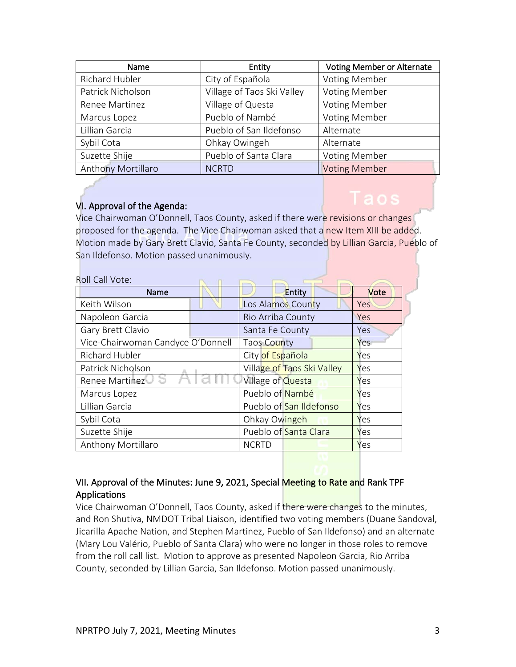| Name               | Entity                     | <b>Voting Member or Alternate</b> |
|--------------------|----------------------------|-----------------------------------|
| Richard Hubler     | City of Española           | <b>Voting Member</b>              |
| Patrick Nicholson  | Village of Taos Ski Valley | <b>Voting Member</b>              |
| Renee Martinez     | Village of Questa          | <b>Voting Member</b>              |
| Marcus Lopez       | Pueblo of Nambé            | <b>Voting Member</b>              |
| Lillian Garcia     | Pueblo of San Ildefonso    | Alternate                         |
| Sybil Cota         | Ohkay Owingeh              | Alternate                         |
| Suzette Shije      | Pueblo of Santa Clara      | <b>Voting Member</b>              |
| Anthony Mortillaro | <b>NCRTD</b>               | <b>Voting Member</b>              |

#### VI. Approval of the Agenda:

aos

Vice Chairwoman O'Donnell, Taos County, asked if there were revisions or changes proposed for the agenda. The Vice Chairwoman asked that a new Item XIII be added. Motion made by Gary Brett Clavio, Santa Fe County, seconded by Lillian Garcia, Pueblo of San Ildefonso. Motion passed unanimously.

| Roll Call Vote:                   |                            |      |
|-----------------------------------|----------------------------|------|
| <b>Name</b>                       | Entity                     | Vote |
| Keith Wilson                      | Los Alamos County          | Yes  |
| Napoleon Garcia                   | Rio Arriba County          | Yes  |
| Gary Brett Clavio                 | Santa Fe County            | Yes  |
| Vice-Chairwoman Candyce O'Donnell | Taos County                | Yes  |
| Richard Hubler                    | City of Española           | Yes  |
| Patrick Nicholson                 | Village of Taos Ski Valley | Yes  |
| Renee Martinez                    | Village of <b>Questa</b>   | Yes  |
| Marcus Lopez                      | Pueblo of Nambé            | Yes  |
| Lillian Garcia                    | Pueblo of San Ildefonso    | Yes  |
| Sybil Cota                        | Ohkay Owingeh              | Yes  |
| Suzette Shije                     | Pueblo of Santa Clara      | Yes  |
| Anthony Mortillaro                | <b>NCRTD</b>               | Yes  |

### VII. Approval of the Minutes: June 9, 2021, Special Meeting to Rate and Rank TPF Applications

Vice Chairwoman O'Donnell, Taos County, asked if there were changes to the minutes, and Ron Shutiva, NMDOT Tribal Liaison, identified two voting members (Duane Sandoval, Jicarilla Apache Nation, and Stephen Martinez, Pueblo of San Ildefonso) and an alternate (Mary Lou Valério, Pueblo of Santa Clara) who were no longer in those roles to remove from the roll call list. Motion to approve as presented Napoleon Garcia, Rio Arriba County, seconded by Lillian Garcia, San Ildefonso. Motion passed unanimously.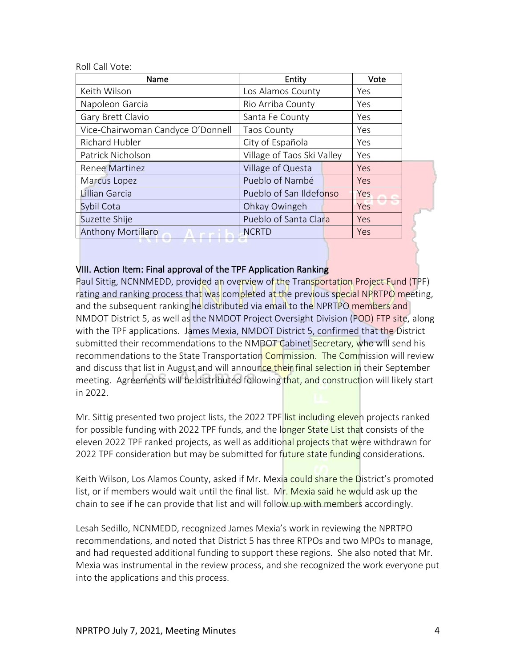Roll Call Vote:

| Name                              | Entity                     | Vote |  |
|-----------------------------------|----------------------------|------|--|
| Keith Wilson                      | Los Alamos County          | Yes  |  |
| Napoleon Garcia                   | Rio Arriba County          | Yes  |  |
| Gary Brett Clavio                 | Santa Fe County            | Yes  |  |
| Vice-Chairwoman Candyce O'Donnell | <b>Taos County</b>         | Yes  |  |
| Richard Hubler                    | City of Española           | Yes  |  |
| Patrick Nicholson                 | Village of Taos Ski Valley | Yes  |  |
| <b>Renee Martinez</b>             | Village of Questa          | Yes  |  |
| Marcus Lopez                      | Pueblo of Nambé            | Yes  |  |
| Lillian Garcia                    | Pueblo of San Ildefonso    | Yes  |  |
| Sybil Cota                        | Ohkay Owingeh              | Yes  |  |
| Suzette Shije                     | Pueblo of Santa Clara      | Yes  |  |
| <b>Anthony Mortillaro</b>         | <b>NCRTD</b>               | Yes  |  |

#### VIII. Action Item: Final approval of the TPF Application Ranking

Paul Sittig, NCNNMEDD, provided an overview of the Transportation Project Fund (TPF) rating and ranking process that was completed at the previous special NPRTPO meeting, and the subsequent ranking he distributed via email to the NPRTPO members and NMDOT District 5, as well as the NMDOT Project Oversight Division (POD) FTP site, along with the TPF applications. James Mexia, NMDOT District 5, confirmed that the District submitted their recommendations to the NMDOT Cabinet Secretary, who will send his recommendations to the State Transportation Commission. The Commission will review and discuss that list in August and will announce their final selection in their September meeting. Agreements will be distributed following that, and construction will likely start in 2022.

Mr. Sittig presented two project lists, the 2022 TPF list including eleven projects ranked for possible funding with 2022 TPF funds, and the longer State List that consists of the eleven 2022 TPF ranked projects, as well as additional projects that were withdrawn for 2022 TPF consideration but may be submitted for future state funding considerations.

Keith Wilson, Los Alamos County, asked if Mr. Mexia could share the District's promoted list, or if members would wait until the final list. Mr. Mexia said he would ask up the chain to see if he can provide that list and will follow up with members accordingly.

Lesah Sedillo, NCNMEDD, recognized James Mexia's work in reviewing the NPRTPO recommendations, and noted that District 5 has three RTPOs and two MPOs to manage, and had requested additional funding to support these regions. She also noted that Mr. Mexia was instrumental in the review process, and she recognized the work everyone put into the applications and this process.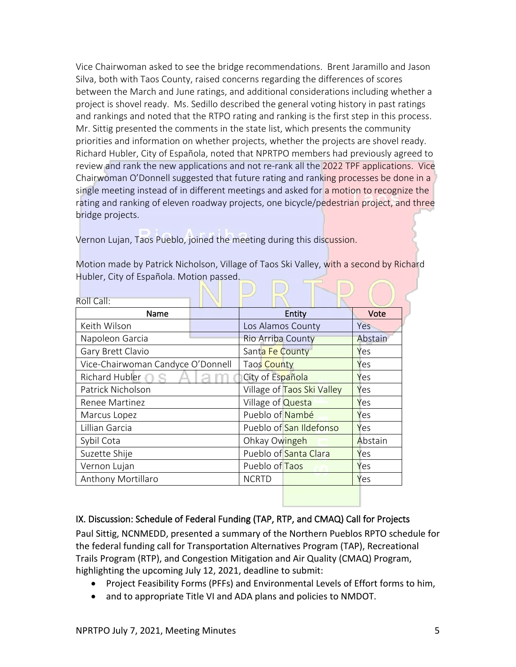Vice Chairwoman asked to see the bridge recommendations. Brent Jaramillo and Jason Silva, both with Taos County, raised concerns regarding the differences of scores between the March and June ratings, and additional considerations including whether a project is shovel ready. Ms. Sedillo described the general voting history in past ratings and rankings and noted that the RTPO rating and ranking is the first step in this process. Mr. Sittig presented the comments in the state list, which presents the community priorities and information on whether projects, whether the projects are shovel ready. Richard Hubler, City of Española, noted that NPRTPO members had previously agreed to review and rank the new applications and not re-rank all the 2022 TPF applications. Vice Chairwoman O'Donnell suggested that future rating and ranking processes be done in a single meeting instead of in different meetings and asked for a motion to recognize the rating and ranking of eleven roadway projects, one bicycle/pedestrian project, and three bridge projects.

Vernon Lujan, Taos Pueblo, joined the meeting during this discussion.

Motion made by Patrick Nicholson, Village of Taos Ski Valley, with a second by Richard Hubler, City of Española. Motion passed.

| Roll Call:                        |                            |         |
|-----------------------------------|----------------------------|---------|
| Name                              | Entity                     | Vote    |
| Keith Wilson                      | Los Alamos County          | Yes     |
| Napoleon Garcia                   | Rio Arriba County          | Abstain |
| Gary Brett Clavio                 | Santa Fe County            | Yes     |
| Vice-Chairwoman Candyce O'Donnell | Taos County                | Yes     |
| Richard Hubler <b>O</b>           | City of Española           | Yes     |
| Patrick Nicholson                 | Village of Taos Ski Valley | Yes     |
| Renee Martinez                    | Village of <b>Questa</b>   | Yes     |
| Marcus Lopez                      | Pueblo of Nambé            | Yes     |
| Lillian Garcia                    | Pueblo of San Ildefonso    | Yes     |
| Sybil Cota                        | Ohkay Owingeh              | Abstain |
| Suzette Shije                     | Pueblo of Santa Clara      | Yes     |
| Vernon Lujan                      | Pueblo of Taos             | Yes     |
| Anthony Mortillaro                | <b>NCRTD</b>               | Yes     |
|                                   |                            |         |

IX. Discussion: Schedule of Federal Funding (TAP, RTP, and CMAQ) Call for Projects

Paul Sittig, NCNMEDD, presented a summary of the Northern Pueblos RPTO schedule for the federal funding call for Transportation Alternatives Program (TAP), Recreational Trails Program (RTP), and Congestion Mitigation and Air Quality (CMAQ) Program, highlighting the upcoming July 12, 2021, deadline to submit:

- Project Feasibility Forms (PFFs) and Environmental Levels of Effort forms to him,
- and to appropriate Title VI and ADA plans and policies to NMDOT.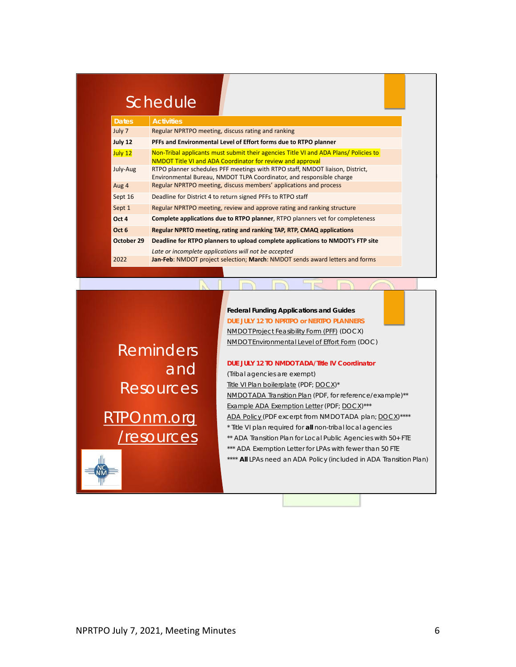# Schedule

| <b>Dates</b> | <b>Activities</b>                                                                                                                                         |
|--------------|-----------------------------------------------------------------------------------------------------------------------------------------------------------|
| July 7       | Regular NPRTPO meeting, discuss rating and ranking                                                                                                        |
| July 12      | PFFs and Environmental Level of Effort forms due to RTPO planner                                                                                          |
| July 12      | Non-Tribal applicants must submit their agencies Title VI and ADA Plans/ Policies to<br><b>NMDOT Title VI and ADA Coordinator for review and approval</b> |
| July-Aug     | RTPO planner schedules PFF meetings with RTPO staff, NMDOT liaison, District,<br>Environmental Bureau, NMDOT TLPA Coordinator, and responsible charge     |
| Aug 4        | Regular NPRTPO meeting, discuss members' applications and process                                                                                         |
| Sept 16      | Deadline for District 4 to return signed PFFs to RTPO staff                                                                                               |
| Sept 1       | Regular NPRTPO meeting, review and approve rating and ranking structure                                                                                   |
| Oct 4        | <b>Complete applications due to RTPO planner, RTPO planners vet for completeness</b>                                                                      |
| Oct 6        | Regular NPRTO meeting, rating and ranking TAP, RTP, CMAQ applications                                                                                     |
| October 29   | Deadline for RTPO planners to upload complete applications to NMDOT's FTP site                                                                            |
|              | Late or incomplete applications will not be accepted                                                                                                      |
| 2022         | Jan-Feb: NMDOT project selection; March: NMDOT sends award letters and forms                                                                              |

Reminders and **Resources** 

RTPOnm.org /resources

#### **Federal Funding Applications and Guides** *DUE JULY 12 TO NPRTPO or NERTPO PLANNERS*

NMDOT Project Feasibility Form (PFF) (DOCX) NMDOT Environmental Level of Effort Form (DOC)

#### *DUE JULY 12 TO NMDOT ADA/Title IV Coordinator*

*(Tribal agencies are exempt)* Title VI Plan boilerplate (PDF; DOCX)\* NMDOT ADA Transition Plan (PDF, for reference/example)\*\* Example ADA Exemption Letter (PDF; DOCX)\*\*\* ADA Policy (PDF excerpt from NMDOT ADA plan; DOCX)\*\*\*\* \* Title VI plan required for **all** non-tribal local agencies \*\* ADA Transition Plan for Local Public Agencies *with 50+ FTE* \*\*\* ADA Exemption Letter for LPAs *with fewer than 50 FTE* \*\*\*\* **All** LPAs need an ADA Policy (included in ADA Transition Plan)

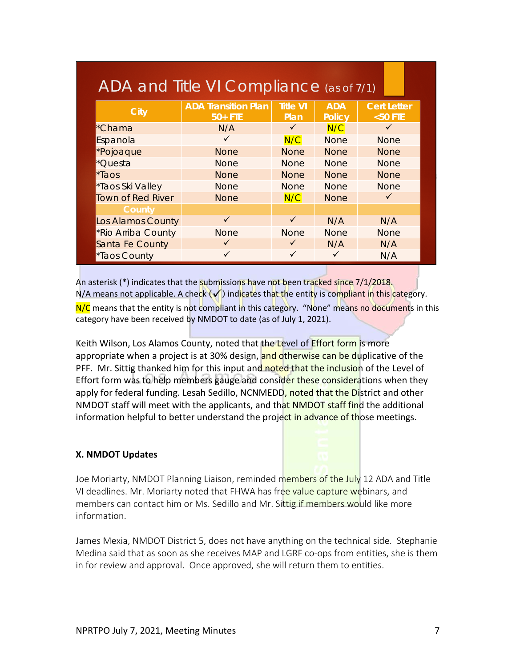| <b>City</b>        | <b>ADA Transition Plan</b><br>$50+$ FTE | <b>Title VI</b><br>Plan | <b>ADA</b><br><b>Policy</b> | <b>Cert Letter</b><br>$<$ 50 FTE |
|--------------------|-----------------------------------------|-------------------------|-----------------------------|----------------------------------|
| *Chama             | N/A                                     | $\checkmark$            | N/C                         | ✓                                |
| Espanola           | ✓                                       | N/C                     | <b>None</b>                 | <b>None</b>                      |
| *Pojoaque          | <b>None</b>                             | <b>None</b>             | <b>None</b>                 | <b>None</b>                      |
| *Questa            | <b>None</b>                             | <b>None</b>             | <b>None</b>                 | <b>None</b>                      |
| *Taos              | <b>None</b>                             | <b>None</b>             | <b>None</b>                 | <b>None</b>                      |
| *Taos Ski Valley   | <b>None</b>                             | <b>None</b>             | <b>None</b>                 | <b>None</b>                      |
| Town of Red River  | <b>None</b>                             | N/C                     | <b>None</b>                 | ✓                                |
| County             |                                         |                         |                             |                                  |
| Los Alamos County  | $\checkmark$                            | $\checkmark$            | N/A                         | N/A                              |
| *Rio Arriba County | <b>None</b>                             | <b>None</b>             | <b>None</b>                 | <b>None</b>                      |
| Santa Fe County    | $\checkmark$                            | $\checkmark$            | N/A                         | N/A                              |
| *Taos County       | ✓                                       |                         |                             | N/A                              |

An asterisk (\*) indicates that the submissions have not been tracked since 7/1/2018.  $N/A$  means not applicable. A check  $\sqrt{}$  indicates that the entity is compliant in this category. N/C means that the entity is not compliant in this category. "None" means no documents in this category have been received by NMDOT to date (as of July 1, 2021).

Keith Wilson, Los Alamos County, noted that the Level of **Effort form is more** appropriate when a project is at 30% design, and otherwise can be duplicative of the PFF. Mr. Sittig thanked him for this input and noted that the inclusion of the Level of Effort form was to help members gauge and consider these considerations when they apply for federal funding. Lesah Sedillo, NCNMEDD, noted that the District and other NMDOT staff will meet with the applicants, and that NMDOT staff find the additional information helpful to better understand the project in advance of those meetings.

#### **X. NMDOT Updates**

Joe Moriarty, NMDOT Planning Liaison, reminded members of the July 12 ADA and Title VI deadlines. Mr. Moriarty noted that FHWA has free value capture webinars, and members can contact him or Ms. Sedillo and Mr. Sittig if members would like more information.

James Mexia, NMDOT District 5, does not have anything on the technical side. Stephanie Medina said that as soon as she receives MAP and LGRF co-ops from entities, she is them in for review and approval. Once approved, she will return them to entities.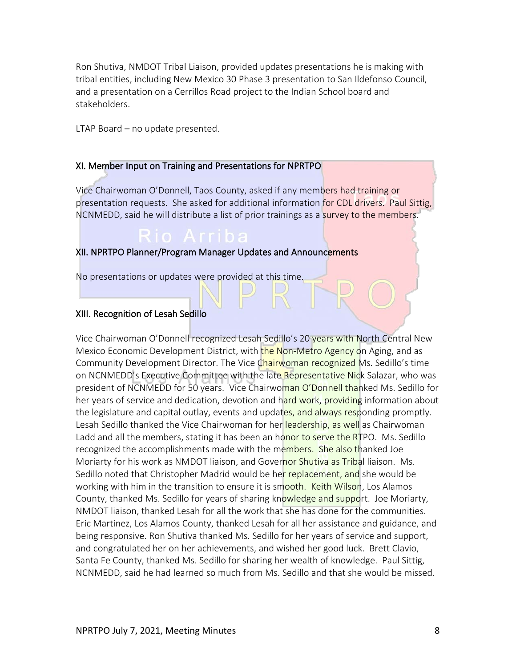Ron Shutiva, NMDOT Tribal Liaison, provided updates presentations he is making with tribal entities, including New Mexico 30 Phase 3 presentation to San Ildefonso Council, and a presentation on a Cerrillos Road project to the Indian School board and stakeholders.

LTAP Board – no update presented.

#### XI. Member Input on Training and Presentations for NPRTPO

Vice Chairwoman O'Donnell, Taos County, asked if any members had training or presentation requests. She asked for additional information for CDL drivers. Paul Sittig, NCNMEDD, said he will distribute a list of prior trainings as a survey to the members.

#### XII. NPRTPO Planner/Program Manager Updates and Announcements

No presentations or updates were provided at this time.

#### XIII. Recognition of Lesah Sedillo

Vice Chairwoman O'Donnell recognized Lesah Sedillo's 20 years with North Central New Mexico Economic Development District, with the Non-Metro Agency on Aging, and as Community Development Director. The Vice Chairwoman recognized Ms. Sedillo's time on NCNMEDD's Executive Committee with the late Representative Nick Salazar, who was president of NCNMEDD for 50 years. Vice Chairwoman O'Donnell thanked Ms. Sedillo for her years of service and dedication, devotion and hard work, providing information about the legislature and capital outlay, events and updates, and always responding promptly. Lesah Sedillo thanked the Vice Chairwoman for her leadership, as well as Chairwoman Ladd and all the members, stating it has been an honor to serve the RTPO. Ms. Sedillo recognized the accomplishments made with the members. She also thanked Joe Moriarty for his work as NMDOT liaison, and Governor Shutiva as Tribal liaison. Ms. Sedillo noted that Christopher Madrid would be her replacement, and she would be working with him in the transition to ensure it is smooth. Keith Wilson, Los Alamos County, thanked Ms. Sedillo for years of sharing knowledge and support. Joe Moriarty, NMDOT liaison, thanked Lesah for all the work that she has done for the communities. Eric Martinez, Los Alamos County, thanked Lesah for all her assistance and guidance, and being responsive. Ron Shutiva thanked Ms. Sedillo for her years of service and support, and congratulated her on her achievements, and wished her good luck. Brett Clavio, Santa Fe County, thanked Ms. Sedillo for sharing her wealth of knowledge. Paul Sittig, NCNMEDD, said he had learned so much from Ms. Sedillo and that she would be missed.